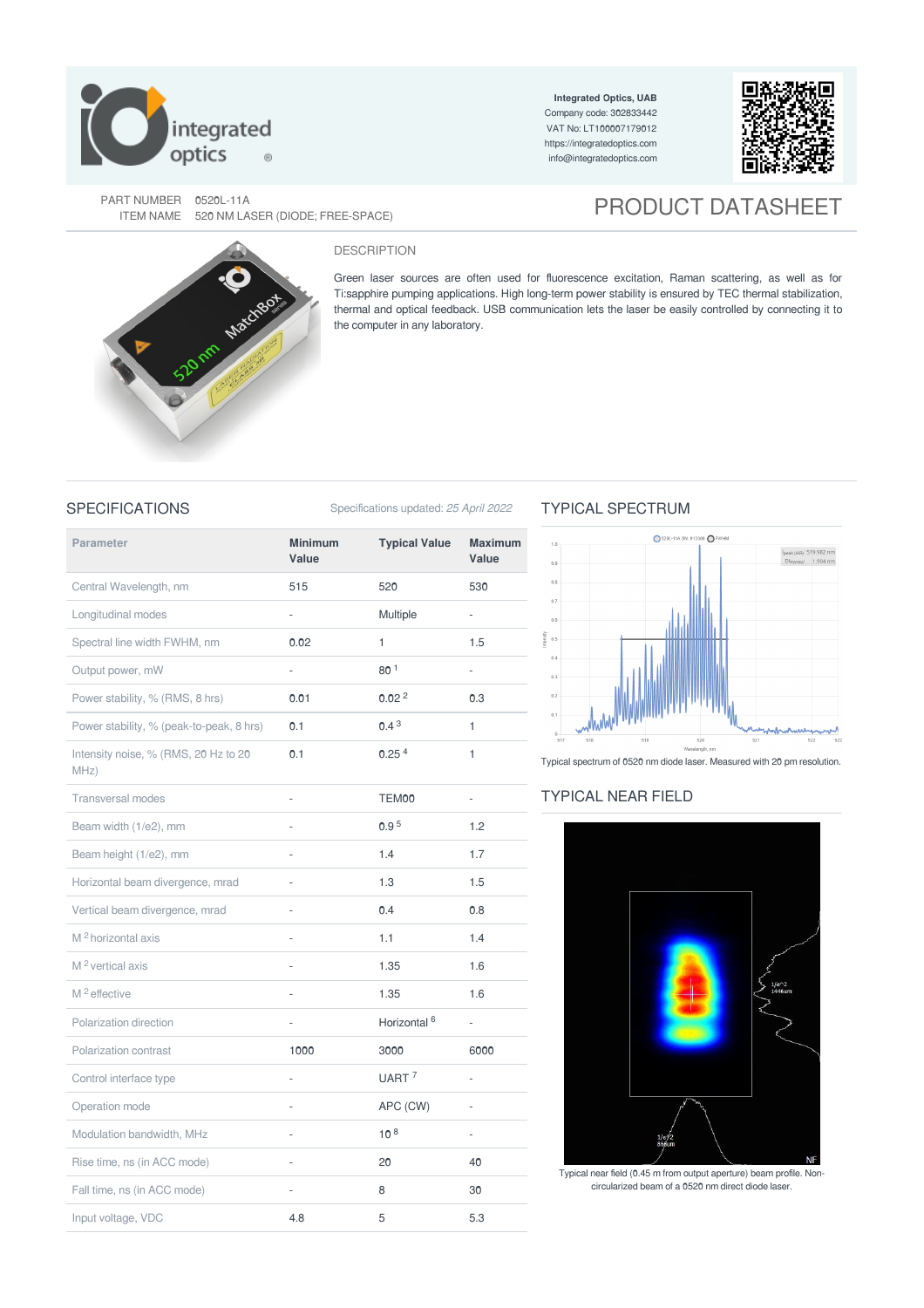

**Integrated Optics, UAB** Company code: 302833442 VAT No: LT100007179012 <https://integratedoptics.com> info@integratedoptics.com



PART NUMBER 0520L-11A<br>ITEM NAME 520 NM LASER (DIODE; FREE-SPACE)

# **PRODUCT DATASHEET**



#### DESCRIPTION

Green laser sources are often used for fluorescence excitation, Raman scattering, as well as for Ti:sapphire pumping applications. High long-term power stability is ensured by TEC thermal stabilization, thermal and optical feedback. USB communication lets the laser be easily controlled by connecting it to the computer in any laboratory.

SPECIFICATIONS Specifications updated: 25 April 2022

| <b>Parameter</b>                             | <b>Minimum</b><br>Value | <b>Typical Value</b>    | <b>Maximum</b><br>Value |
|----------------------------------------------|-------------------------|-------------------------|-------------------------|
| Central Wavelength, nm                       | 515                     | 520                     | 530                     |
| Longitudinal modes                           |                         | Multiple                |                         |
| Spectral line width FWHM, nm                 | 0.02                    | 1                       | 1.5                     |
| Output power, mW                             | ÷,                      | 80 <sup>1</sup>         |                         |
| Power stability, % (RMS, 8 hrs)              | 0.01                    | 0.02 <sup>2</sup>       | 0.3                     |
| Power stability, % (peak-to-peak, 8 hrs)     | 0.1                     | 0.4 <sup>3</sup>        | $\mathbf{1}$            |
| Intensity noise, % (RMS, 20 Hz to 20<br>MHz) | 0.1                     | 0.25 <sup>4</sup>       | 1                       |
| <b>Transversal modes</b>                     | L                       | <b>TEM00</b>            | ÷,                      |
| Beam width (1/e2), mm                        | ÷,                      | 0.95                    | 1.2                     |
| Beam height (1/e2), mm                       | ä,                      | 1.4                     | 1.7                     |
| Horizontal beam divergence, mrad             |                         | 1.3                     | 1.5                     |
| Vertical beam divergence, mrad               | L,                      | 0.4                     | 0.8                     |
| M <sup>2</sup> horizontal axis               |                         | 1.1                     | 1.4                     |
| M <sup>2</sup> vertical axis                 |                         | 1.35                    | 1.6                     |
| M <sup>2</sup> effective                     |                         | 1.35                    | 1.6                     |
| Polarization direction                       |                         | Horizontal <sup>6</sup> |                         |
| Polarization contrast                        | 1000                    | 3000                    | 6000                    |
| Control interface type                       | ä,                      | UART <sup>7</sup>       | ÷                       |
| Operation mode                               | L,                      | APC (CW)                | ä,                      |
| Modulation bandwidth, MHz                    |                         | $10^{8}$                | ÷.                      |
| Rise time, ns (in ACC mode)                  | ÷,                      | 20                      | 40                      |
| Fall time, ns (in ACC mode)                  |                         | 8                       | 30                      |
| Input voltage, VDC                           | 4.8                     | 5                       | 5.3                     |

# TYPICAL SPECTRUM



Typical spectrum of 0520 nm diode laser. Measured with 20 pm resolution.

## TYPICAL NEAR FIELD



circularized beam of a 0520 nm direct diode laser.